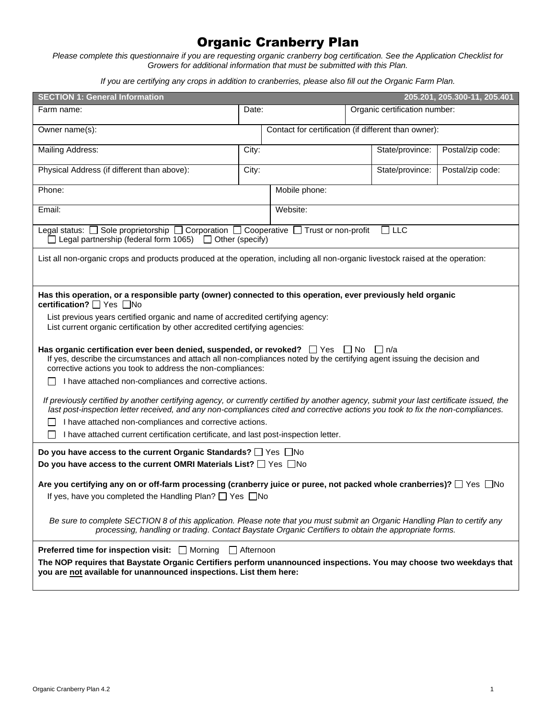## Organic Cranberry Plan

*Please complete this questionnaire if you are requesting organic cranberry bog certification. See the Application Checklist for Growers for additional information that must be submitted with this Plan.*

*If you are certifying any crops in addition to cranberries, please also fill out the Organic Farm Plan.*

| <b>SECTION 1: General Information</b>                                                                                                                                                                                                                                                        |                                                      |               |                 |                               | 205.201, 205.300-11, 205.401 |  |
|----------------------------------------------------------------------------------------------------------------------------------------------------------------------------------------------------------------------------------------------------------------------------------------------|------------------------------------------------------|---------------|-----------------|-------------------------------|------------------------------|--|
| Farm name:                                                                                                                                                                                                                                                                                   | Date:                                                |               |                 | Organic certification number: |                              |  |
| Owner name(s):                                                                                                                                                                                                                                                                               | Contact for certification (if different than owner): |               |                 |                               |                              |  |
| Mailing Address:                                                                                                                                                                                                                                                                             | City:                                                |               | State/province: | Postal/zip code:              |                              |  |
| Physical Address (if different than above):                                                                                                                                                                                                                                                  | City:<br>State/province:                             |               |                 | Postal/zip code:              |                              |  |
| Phone:                                                                                                                                                                                                                                                                                       |                                                      | Mobile phone: |                 |                               |                              |  |
| Email:                                                                                                                                                                                                                                                                                       | Website:                                             |               |                 |                               |                              |  |
| Legal status: □ Sole proprietorship □ Corporation □ Cooperative □ Trust or non-profit<br>– ⊔LC<br>$\Box$ Legal partnership (federal form 1065) $\Box$ Other (specify)                                                                                                                        |                                                      |               |                 |                               |                              |  |
| List all non-organic crops and products produced at the operation, including all non-organic livestock raised at the operation:                                                                                                                                                              |                                                      |               |                 |                               |                              |  |
| Has this operation, or a responsible party (owner) connected to this operation, ever previously held organic<br>certification? <sup>1</sup> Yes <b>No</b>                                                                                                                                    |                                                      |               |                 |                               |                              |  |
| List previous years certified organic and name of accredited certifying agency:<br>List current organic certification by other accredited certifying agencies:                                                                                                                               |                                                      |               |                 |                               |                              |  |
| Has organic certification ever been denied, suspended, or revoked? $\Box$ Yes $\Box$ No<br>∣ In/a<br>If yes, describe the circumstances and attach all non-compliances noted by the certifying agent issuing the decision and<br>corrective actions you took to address the non-compliances: |                                                      |               |                 |                               |                              |  |
| I have attached non-compliances and corrective actions.                                                                                                                                                                                                                                      |                                                      |               |                 |                               |                              |  |
| If previously certified by another certifying agency, or currently certified by another agency, submit your last certificate issued, the<br>last post-inspection letter received, and any non-compliances cited and corrective actions you took to fix the non-compliances.                  |                                                      |               |                 |                               |                              |  |
| I have attached non-compliances and corrective actions.                                                                                                                                                                                                                                      |                                                      |               |                 |                               |                              |  |
| I have attached current certification certificate, and last post-inspection letter.                                                                                                                                                                                                          |                                                      |               |                 |                               |                              |  |
| Do you have access to the current Organic Standards? □ Yes □ No<br>Do you have access to the current OMRI Materials List? □ Yes □No                                                                                                                                                          |                                                      |               |                 |                               |                              |  |
| Are you certifying any on or off-farm processing (cranberry juice or puree, not packed whole cranberries)? $\Box$ Yes $\Box$ No<br>If yes, have you completed the Handling Plan? □ Yes □ No                                                                                                  |                                                      |               |                 |                               |                              |  |
| Be sure to complete SECTION 8 of this application. Please note that you must submit an Organic Handling Plan to certify any<br>processing, handling or trading. Contact Baystate Organic Certifiers to obtain the appropriate forms.                                                         |                                                      |               |                 |                               |                              |  |
| <b>Preferred time for inspection visit:</b> $\Box$ Morning $\Box$ Afternoon<br>The NOP requires that Baystate Organic Certifiers perform unannounced inspections. You may choose two weekdays that<br>you are not available for unannounced inspections. List them here:                     |                                                      |               |                 |                               |                              |  |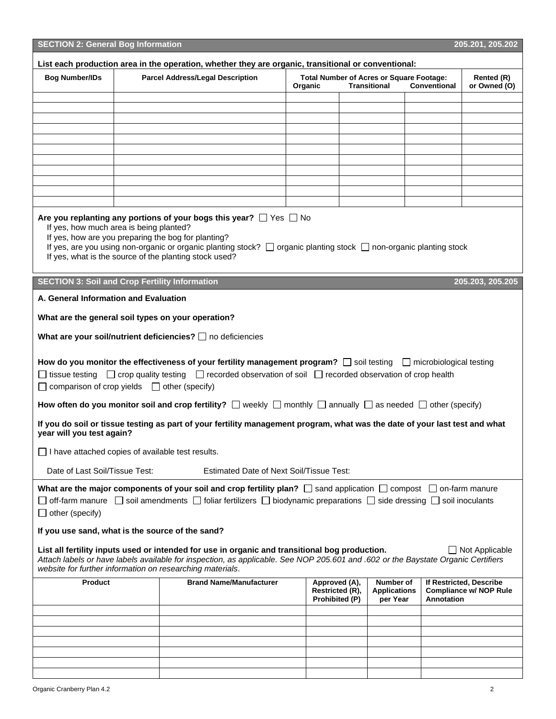| <b>SECTION 2: General Bog Information</b>                                                                                                                                                                                                                                                                                                                                |  |                                                                                                                                                                                                                                                                                                                                                                                                             |  |                                                    |  |                                                                        |                     | 205.201, 205.202                                         |
|--------------------------------------------------------------------------------------------------------------------------------------------------------------------------------------------------------------------------------------------------------------------------------------------------------------------------------------------------------------------------|--|-------------------------------------------------------------------------------------------------------------------------------------------------------------------------------------------------------------------------------------------------------------------------------------------------------------------------------------------------------------------------------------------------------------|--|----------------------------------------------------|--|------------------------------------------------------------------------|---------------------|----------------------------------------------------------|
| List each production area in the operation, whether they are organic, transitional or conventional:                                                                                                                                                                                                                                                                      |  |                                                                                                                                                                                                                                                                                                                                                                                                             |  |                                                    |  |                                                                        |                     |                                                          |
| <b>Bog Number/IDs</b>                                                                                                                                                                                                                                                                                                                                                    |  | <b>Parcel Address/Legal Description</b>                                                                                                                                                                                                                                                                                                                                                                     |  | Organic                                            |  | <b>Total Number of Acres or Square Footage:</b><br><b>Transitional</b> | <b>Conventional</b> | Rented (R)<br>or Owned (O)                               |
|                                                                                                                                                                                                                                                                                                                                                                          |  |                                                                                                                                                                                                                                                                                                                                                                                                             |  |                                                    |  |                                                                        |                     |                                                          |
|                                                                                                                                                                                                                                                                                                                                                                          |  |                                                                                                                                                                                                                                                                                                                                                                                                             |  |                                                    |  |                                                                        |                     |                                                          |
|                                                                                                                                                                                                                                                                                                                                                                          |  |                                                                                                                                                                                                                                                                                                                                                                                                             |  |                                                    |  |                                                                        |                     |                                                          |
|                                                                                                                                                                                                                                                                                                                                                                          |  |                                                                                                                                                                                                                                                                                                                                                                                                             |  |                                                    |  |                                                                        |                     |                                                          |
|                                                                                                                                                                                                                                                                                                                                                                          |  |                                                                                                                                                                                                                                                                                                                                                                                                             |  |                                                    |  |                                                                        |                     |                                                          |
|                                                                                                                                                                                                                                                                                                                                                                          |  |                                                                                                                                                                                                                                                                                                                                                                                                             |  |                                                    |  |                                                                        |                     |                                                          |
|                                                                                                                                                                                                                                                                                                                                                                          |  |                                                                                                                                                                                                                                                                                                                                                                                                             |  |                                                    |  |                                                                        |                     |                                                          |
|                                                                                                                                                                                                                                                                                                                                                                          |  |                                                                                                                                                                                                                                                                                                                                                                                                             |  |                                                    |  |                                                                        |                     |                                                          |
|                                                                                                                                                                                                                                                                                                                                                                          |  |                                                                                                                                                                                                                                                                                                                                                                                                             |  |                                                    |  |                                                                        |                     |                                                          |
| Are you replanting any portions of your bogs this year? $\Box$ Yes $\Box$ No<br>If yes, how much area is being planted?<br>If yes, how are you preparing the bog for planting?<br>If yes, are you using non-organic or organic planting stock? $\Box$ organic planting stock $\Box$ non-organic planting stock<br>If yes, what is the source of the planting stock used? |  |                                                                                                                                                                                                                                                                                                                                                                                                             |  |                                                    |  |                                                                        |                     |                                                          |
| <b>SECTION 3: Soil and Crop Fertility Information</b>                                                                                                                                                                                                                                                                                                                    |  |                                                                                                                                                                                                                                                                                                                                                                                                             |  |                                                    |  |                                                                        |                     | 205.203, 205.205                                         |
| A. General Information and Evaluation                                                                                                                                                                                                                                                                                                                                    |  |                                                                                                                                                                                                                                                                                                                                                                                                             |  |                                                    |  |                                                                        |                     |                                                          |
| What are the general soil types on your operation?                                                                                                                                                                                                                                                                                                                       |  |                                                                                                                                                                                                                                                                                                                                                                                                             |  |                                                    |  |                                                                        |                     |                                                          |
|                                                                                                                                                                                                                                                                                                                                                                          |  | What are your soil/nutrient deficiencies? $\Box$ no deficiencies                                                                                                                                                                                                                                                                                                                                            |  |                                                    |  |                                                                        |                     |                                                          |
| $\Box$ comparison of crop yields $\Box$ other (specify)                                                                                                                                                                                                                                                                                                                  |  | How do you monitor the effectiveness of your fertility management program? $\Box$ soil testing $\Box$ microbiological testing<br>$\Box$ tissue testing $\Box$ crop quality testing $\Box$ recorded observation of soil $\Box$ recorded observation of crop health<br>How often do you monitor soil and crop fertility? $\Box$ weekly $\Box$ monthly $\Box$ annually $\Box$ as needed $\Box$ other (specify) |  |                                                    |  |                                                                        |                     |                                                          |
| year will you test again?                                                                                                                                                                                                                                                                                                                                                |  | If you do soil or tissue testing as part of your fertility management program, what was the date of your last test and what                                                                                                                                                                                                                                                                                 |  |                                                    |  |                                                                        |                     |                                                          |
| $\Box$ I have attached copies of available test results.                                                                                                                                                                                                                                                                                                                 |  |                                                                                                                                                                                                                                                                                                                                                                                                             |  |                                                    |  |                                                                        |                     |                                                          |
| Date of Last Soil/Tissue Test:                                                                                                                                                                                                                                                                                                                                           |  | Estimated Date of Next Soil/Tissue Test:                                                                                                                                                                                                                                                                                                                                                                    |  |                                                    |  |                                                                        |                     |                                                          |
| $\Box$ other (specify)                                                                                                                                                                                                                                                                                                                                                   |  | What are the major components of your soil and crop fertility plan? $\Box$ sand application $\Box$ compost $\Box$ on-farm manure<br>$\Box$ off-farm manure $\Box$ soil amendments $\Box$ foliar fertilizers $\Box$ biodynamic preparations $\Box$ side dressing $\Box$ soil inoculants                                                                                                                      |  |                                                    |  |                                                                        |                     |                                                          |
| If you use sand, what is the source of the sand?                                                                                                                                                                                                                                                                                                                         |  |                                                                                                                                                                                                                                                                                                                                                                                                             |  |                                                    |  |                                                                        |                     |                                                          |
| List all fertility inputs used or intended for use in organic and transitional bog production.<br>$\Box$ Not Applicable<br>Attach labels or have labels available for inspection, as applicable. See NOP 205.601 and .602 or the Baystate Organic Certifiers<br>website for further information on researching materials.                                                |  |                                                                                                                                                                                                                                                                                                                                                                                                             |  |                                                    |  |                                                                        |                     |                                                          |
| Product                                                                                                                                                                                                                                                                                                                                                                  |  | <b>Brand Name/Manufacturer</b>                                                                                                                                                                                                                                                                                                                                                                              |  | Approved (A),<br>Restricted (R),<br>Prohibited (P) |  | Number of<br><b>Applications</b><br>per Year                           | <b>Annotation</b>   | If Restricted, Describe<br><b>Compliance w/ NOP Rule</b> |
|                                                                                                                                                                                                                                                                                                                                                                          |  |                                                                                                                                                                                                                                                                                                                                                                                                             |  |                                                    |  |                                                                        |                     |                                                          |
|                                                                                                                                                                                                                                                                                                                                                                          |  |                                                                                                                                                                                                                                                                                                                                                                                                             |  |                                                    |  |                                                                        |                     |                                                          |
|                                                                                                                                                                                                                                                                                                                                                                          |  |                                                                                                                                                                                                                                                                                                                                                                                                             |  |                                                    |  |                                                                        |                     |                                                          |
|                                                                                                                                                                                                                                                                                                                                                                          |  |                                                                                                                                                                                                                                                                                                                                                                                                             |  |                                                    |  |                                                                        |                     |                                                          |
|                                                                                                                                                                                                                                                                                                                                                                          |  |                                                                                                                                                                                                                                                                                                                                                                                                             |  |                                                    |  |                                                                        |                     |                                                          |
|                                                                                                                                                                                                                                                                                                                                                                          |  |                                                                                                                                                                                                                                                                                                                                                                                                             |  |                                                    |  |                                                                        |                     |                                                          |

Ē.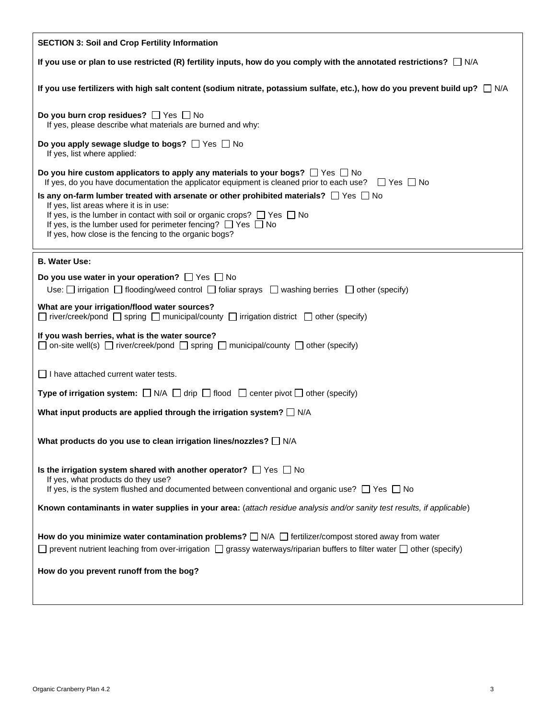| <b>SECTION 3: Soil and Crop Fertility Information</b>                                                                                                                                                                                                                                                                                                                                                                                                                                                                                                                          |
|--------------------------------------------------------------------------------------------------------------------------------------------------------------------------------------------------------------------------------------------------------------------------------------------------------------------------------------------------------------------------------------------------------------------------------------------------------------------------------------------------------------------------------------------------------------------------------|
| If you use or plan to use restricted (R) fertility inputs, how do you comply with the annotated restrictions? $\Box$ N/A                                                                                                                                                                                                                                                                                                                                                                                                                                                       |
| If you use fertilizers with high salt content (sodium nitrate, potassium sulfate, etc.), how do you prevent build up? $\Box$ N/A                                                                                                                                                                                                                                                                                                                                                                                                                                               |
| Do you burn crop residues? $\Box$ Yes $\Box$ No<br>If yes, please describe what materials are burned and why:                                                                                                                                                                                                                                                                                                                                                                                                                                                                  |
| Do you apply sewage sludge to bogs? $\Box$ Yes $\Box$ No<br>If yes, list where applied:                                                                                                                                                                                                                                                                                                                                                                                                                                                                                        |
| Do you hire custom applicators to apply any materials to your bogs? $\Box$ Yes $\Box$ No<br>If yes, do you have documentation the applicator equipment is cleaned prior to each use? $\Box$ Yes $\Box$ No<br>Is any on-farm lumber treated with arsenate or other prohibited materials? $\Box$ Yes $\Box$ No<br>If yes, list areas where it is in use:<br>If yes, is the lumber in contact with soil or organic crops? $\Box$ Yes $\Box$ No<br>If yes, is the lumber used for perimeter fencing? $\Box$ Yes $\Box$ No<br>If yes, how close is the fencing to the organic bogs? |
| <b>B. Water Use:</b>                                                                                                                                                                                                                                                                                                                                                                                                                                                                                                                                                           |
| Do you use water in your operation? $\Box$ Yes $\Box$ No<br>Use: $\Box$ irrigation $\Box$ flooding/weed control $\Box$ foliar sprays $\Box$ washing berries $\Box$ other (specify)                                                                                                                                                                                                                                                                                                                                                                                             |
| What are your irrigation/flood water sources?<br>$\Box$ river/creek/pond $\Box$ spring $\Box$ municipal/county $\Box$ irrigation district $\Box$ other (specify)                                                                                                                                                                                                                                                                                                                                                                                                               |
| If you wash berries, what is the water source?<br>$\Box$ on-site well(s) $\Box$ river/creek/pond $\Box$ spring $\Box$ municipal/county $\Box$ other (specify)                                                                                                                                                                                                                                                                                                                                                                                                                  |
| $\Box$ I have attached current water tests.                                                                                                                                                                                                                                                                                                                                                                                                                                                                                                                                    |
| <b>Type of irrigation system:</b> $\Box$ N/A $\Box$ drip $\Box$ flood $\Box$ center pivot $\Box$ other (specify)                                                                                                                                                                                                                                                                                                                                                                                                                                                               |
| What input products are applied through the irrigation system? $\Box$ N/A                                                                                                                                                                                                                                                                                                                                                                                                                                                                                                      |
| What products do you use to clean irrigation lines/nozzles? [ N/A                                                                                                                                                                                                                                                                                                                                                                                                                                                                                                              |
| Is the irrigation system shared with another operator? $\Box$ Yes $\Box$ No<br>If yes, what products do they use?<br>If yes, is the system flushed and documented between conventional and organic use? $\Box$ Yes $\Box$ No                                                                                                                                                                                                                                                                                                                                                   |
| Known contaminants in water supplies in your area: (attach residue analysis and/or sanity test results, if applicable)                                                                                                                                                                                                                                                                                                                                                                                                                                                         |
|                                                                                                                                                                                                                                                                                                                                                                                                                                                                                                                                                                                |
| How do you minimize water contamination problems? $\Box$ N/A $\Box$ fertilizer/compost stored away from water<br>$\Box$ prevent nutrient leaching from over-irrigation $\Box$ grassy waterways/riparian buffers to filter water $\Box$ other (specify)                                                                                                                                                                                                                                                                                                                         |
| How do you prevent runoff from the bog?                                                                                                                                                                                                                                                                                                                                                                                                                                                                                                                                        |
|                                                                                                                                                                                                                                                                                                                                                                                                                                                                                                                                                                                |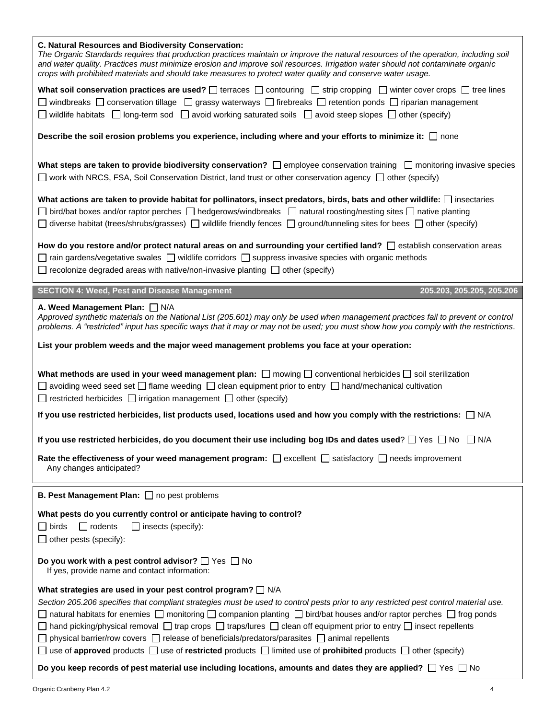| C. Natural Resources and Biodiversity Conservation:<br>The Organic Standards requires that production practices maintain or improve the natural resources of the operation, including soil<br>and water quality. Practices must minimize erosion and improve soil resources. Irrigation water should not contaminate organic<br>crops with prohibited materials and should take measures to protect water quality and conserve water usage.                                                                                                                                                                                                                                                                               |
|---------------------------------------------------------------------------------------------------------------------------------------------------------------------------------------------------------------------------------------------------------------------------------------------------------------------------------------------------------------------------------------------------------------------------------------------------------------------------------------------------------------------------------------------------------------------------------------------------------------------------------------------------------------------------------------------------------------------------|
| What soil conservation practices are used? $\Box$ terraces $\Box$ contouring $\Box$ strip cropping $\Box$ winter cover crops $\Box$ tree lines<br>$□$ windbreaks $□$ conservation tillage $□$ grassy waterways $□$ firebreaks $□$ retention ponds $□$ riparian management<br>$\Box$ wildlife habitats $\Box$ long-term sod $\Box$ avoid working saturated soils $\Box$ avoid steep slopes $\Box$ other (specify)                                                                                                                                                                                                                                                                                                          |
| Describe the soil erosion problems you experience, including where and your efforts to minimize it: □ none                                                                                                                                                                                                                                                                                                                                                                                                                                                                                                                                                                                                                |
| What steps are taken to provide biodiversity conservation? $\square$ employee conservation training $\square$ monitoring invasive species<br>□ work with NRCS, FSA, Soil Conservation District, land trust or other conservation agency □ other (specify)                                                                                                                                                                                                                                                                                                                                                                                                                                                                 |
| What actions are taken to provide habitat for pollinators, insect predators, birds, bats and other wildlife: $\Box$ insectaries<br>$\Box$ bird/bat boxes and/or raptor perches $\Box$ hedgerows/windbreaks $\Box$ natural roosting/nesting sites $\Box$ native planting<br>$\Box$ diverse habitat (trees/shrubs/grasses) $\Box$ wildlife friendly fences $\Box$ ground/tunneling sites for bees $\Box$ other (specify)                                                                                                                                                                                                                                                                                                    |
| How do you restore and/or protect natural areas on and surrounding your certified land?<br><br>$\Box$ establish conservation areas<br>$\Box$ rain gardens/vegetative swales $\Box$ wildlife corridors $\Box$ suppress invasive species with organic methods<br>recolonize degraded areas with native/non-invasive planting $\Box$ other (specify)                                                                                                                                                                                                                                                                                                                                                                         |
| <b>SECTION 4: Weed, Pest and Disease Management</b><br>205.203, 205.205, 205.206                                                                                                                                                                                                                                                                                                                                                                                                                                                                                                                                                                                                                                          |
| A. Weed Management Plan: N/A<br>Approved synthetic materials on the National List (205.601) may only be used when management practices fail to prevent or control<br>problems. A "restricted" input has specific ways that it may or may not be used; you must show how you comply with the restrictions.                                                                                                                                                                                                                                                                                                                                                                                                                 |
| List your problem weeds and the major weed management problems you face at your operation:                                                                                                                                                                                                                                                                                                                                                                                                                                                                                                                                                                                                                                |
|                                                                                                                                                                                                                                                                                                                                                                                                                                                                                                                                                                                                                                                                                                                           |
| What methods are used in your weed management plan: $\Box$ mowing $\Box$ conventional herbicides $\Box$ soil sterilization<br>$\Box$ avoiding weed seed set $\Box$ flame weeding $\Box$ clean equipment prior to entry $\Box$ hand/mechanical cultivation<br>$\Box$ restricted herbicides $\Box$ irrigation management $\Box$ other (specify)                                                                                                                                                                                                                                                                                                                                                                             |
| If you use restricted herbicides, list products used, locations used and how you comply with the restrictions: $\Box$ N/A                                                                                                                                                                                                                                                                                                                                                                                                                                                                                                                                                                                                 |
| If you use restricted herbicides, do you document their use including bog IDs and dates used? $\Box$ Yes $\Box$ No $\Box$ N/A                                                                                                                                                                                                                                                                                                                                                                                                                                                                                                                                                                                             |
| Rate the effectiveness of your weed management program: $\Box$ excellent $\Box$ satisfactory $\Box$ needs improvement<br>Any changes anticipated?                                                                                                                                                                                                                                                                                                                                                                                                                                                                                                                                                                         |
| <b>B. Pest Management Plan:</b> $\Box$ no pest problems                                                                                                                                                                                                                                                                                                                                                                                                                                                                                                                                                                                                                                                                   |
| What pests do you currently control or anticipate having to control?<br>$\Box$ rodents<br>$\Box$ insects (specify):<br>$\Box$ birds<br>$\Box$ other pests (specify):                                                                                                                                                                                                                                                                                                                                                                                                                                                                                                                                                      |
| Do you work with a pest control advisor? $\Box$ Yes $\Box$ No<br>If yes, provide name and contact information:                                                                                                                                                                                                                                                                                                                                                                                                                                                                                                                                                                                                            |
| What strategies are used in your pest control program? $\Box$ N/A<br>Section 205.206 specifies that compliant strategies must be used to control pests prior to any restricted pest control material use.<br>natural habitats for enemies □ monitoring □ companion planting □ bird/bat houses and/or raptor perches □ frog ponds<br>$\Box$ hand picking/physical removal $\Box$ trap crops $\Box$ traps/lures $\Box$ clean off equipment prior to entry $\Box$ insect repellents<br>physical barrier/row covers $\Box$ release of beneficials/predators/parasites $\Box$ animal repellents<br>use of approved products $\Box$ use of restricted products $\Box$ limited use of prohibited products $\Box$ other (specify) |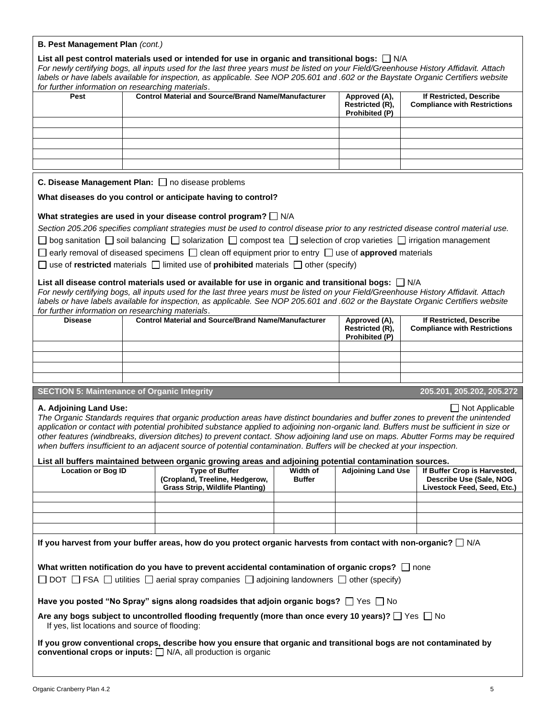| for further information on researching materials.  |                                                                                                                                                                                                                                                                                                                                                                                                                                                                                                                                                                                                                                                         |               | labels or have labels available for inspection, as applicable. See NOP 205.601 and .602 or the Baystate Organic Certifiers website |                                                                |
|----------------------------------------------------|---------------------------------------------------------------------------------------------------------------------------------------------------------------------------------------------------------------------------------------------------------------------------------------------------------------------------------------------------------------------------------------------------------------------------------------------------------------------------------------------------------------------------------------------------------------------------------------------------------------------------------------------------------|---------------|------------------------------------------------------------------------------------------------------------------------------------|----------------------------------------------------------------|
| Pest                                               | <b>Control Material and Source/Brand Name/Manufacturer</b>                                                                                                                                                                                                                                                                                                                                                                                                                                                                                                                                                                                              |               | Approved (A),<br>Restricted (R),<br>Prohibited (P)                                                                                 | If Restricted, Describe<br><b>Compliance with Restrictions</b> |
|                                                    |                                                                                                                                                                                                                                                                                                                                                                                                                                                                                                                                                                                                                                                         |               |                                                                                                                                    |                                                                |
|                                                    |                                                                                                                                                                                                                                                                                                                                                                                                                                                                                                                                                                                                                                                         |               |                                                                                                                                    |                                                                |
|                                                    |                                                                                                                                                                                                                                                                                                                                                                                                                                                                                                                                                                                                                                                         |               |                                                                                                                                    |                                                                |
|                                                    |                                                                                                                                                                                                                                                                                                                                                                                                                                                                                                                                                                                                                                                         |               |                                                                                                                                    |                                                                |
|                                                    | C. Disease Management Plan: no disease problems                                                                                                                                                                                                                                                                                                                                                                                                                                                                                                                                                                                                         |               |                                                                                                                                    |                                                                |
|                                                    | What diseases do you control or anticipate having to control?                                                                                                                                                                                                                                                                                                                                                                                                                                                                                                                                                                                           |               |                                                                                                                                    |                                                                |
|                                                    |                                                                                                                                                                                                                                                                                                                                                                                                                                                                                                                                                                                                                                                         |               |                                                                                                                                    |                                                                |
|                                                    | What strategies are used in your disease control program? $\Box$ N/A<br>Section 205.206 specifies compliant strategies must be used to control disease prior to any restricted disease control material use.                                                                                                                                                                                                                                                                                                                                                                                                                                            |               |                                                                                                                                    |                                                                |
|                                                    | $\Box$ bog sanitation $\Box$ soil balancing $\Box$ solarization $\Box$ compost tea $\Box$ selection of crop varieties $\Box$ irrigation management                                                                                                                                                                                                                                                                                                                                                                                                                                                                                                      |               |                                                                                                                                    |                                                                |
|                                                    | $\Box$ early removal of diseased specimens $\Box$ clean off equipment prior to entry $\Box$ use of <b>approved</b> materials                                                                                                                                                                                                                                                                                                                                                                                                                                                                                                                            |               |                                                                                                                                    |                                                                |
|                                                    | □ use of restricted materials □ limited use of prohibited materials □ other (specify)                                                                                                                                                                                                                                                                                                                                                                                                                                                                                                                                                                   |               |                                                                                                                                    |                                                                |
|                                                    |                                                                                                                                                                                                                                                                                                                                                                                                                                                                                                                                                                                                                                                         |               |                                                                                                                                    |                                                                |
|                                                    | List all disease control materials used or available for use in organic and transitional bogs: $\Box$ N/A<br>For newly certifying bogs, all inputs used for the last three years must be listed on your Field/Greenhouse History Affidavit. Attach                                                                                                                                                                                                                                                                                                                                                                                                      |               |                                                                                                                                    |                                                                |
|                                                    | labels or have labels available for inspection, as applicable. See NOP 205.601 and .602 or the Baystate Organic Certifiers website                                                                                                                                                                                                                                                                                                                                                                                                                                                                                                                      |               |                                                                                                                                    |                                                                |
| for further information on researching materials.  |                                                                                                                                                                                                                                                                                                                                                                                                                                                                                                                                                                                                                                                         |               |                                                                                                                                    |                                                                |
| <b>Disease</b>                                     | <b>Control Material and Source/Brand Name/Manufacturer</b>                                                                                                                                                                                                                                                                                                                                                                                                                                                                                                                                                                                              |               | Approved (A),<br>Restricted (R),<br>Prohibited (P)                                                                                 | If Restricted, Describe<br><b>Compliance with Restrictions</b> |
|                                                    |                                                                                                                                                                                                                                                                                                                                                                                                                                                                                                                                                                                                                                                         |               |                                                                                                                                    |                                                                |
|                                                    |                                                                                                                                                                                                                                                                                                                                                                                                                                                                                                                                                                                                                                                         |               |                                                                                                                                    |                                                                |
|                                                    |                                                                                                                                                                                                                                                                                                                                                                                                                                                                                                                                                                                                                                                         |               |                                                                                                                                    |                                                                |
| <b>SECTION 5: Maintenance of Organic Integrity</b> |                                                                                                                                                                                                                                                                                                                                                                                                                                                                                                                                                                                                                                                         |               |                                                                                                                                    | 205.201, 205.202, 205.272                                      |
| A. Adjoining Land Use:                             | The Organic Standards requires that organic production areas have distinct boundaries and buffer zones to prevent the unintended<br>application or contact with potential prohibited substance applied to adjoining non-organic land. Buffers must be sufficient in size or<br>other features (windbreaks, diversion ditches) to prevent contact. Show adjoining land use on maps. Abutter Forms may be required<br>when buffers insufficient to an adjacent source of potential contamination. Buffers will be checked at your inspection.<br>List all buffers maintained between organic growing areas and adjoining potential contamination sources. |               |                                                                                                                                    | $\Box$ Not Applicable                                          |
|                                                    | <b>Type of Buffer</b>                                                                                                                                                                                                                                                                                                                                                                                                                                                                                                                                                                                                                                   | Width of      | <b>Adjoining Land Use</b>                                                                                                          | If Buffer Crop is Harvested,                                   |
| <b>Location or Bog ID</b>                          | (Cropland, Treeline, Hedgerow,<br><b>Grass Strip, Wildlife Planting)</b>                                                                                                                                                                                                                                                                                                                                                                                                                                                                                                                                                                                | <b>Buffer</b> |                                                                                                                                    | Describe Use (Sale, NOG<br>Livestock Feed, Seed, Etc.)         |
|                                                    |                                                                                                                                                                                                                                                                                                                                                                                                                                                                                                                                                                                                                                                         |               |                                                                                                                                    |                                                                |
|                                                    |                                                                                                                                                                                                                                                                                                                                                                                                                                                                                                                                                                                                                                                         |               |                                                                                                                                    |                                                                |
|                                                    |                                                                                                                                                                                                                                                                                                                                                                                                                                                                                                                                                                                                                                                         |               |                                                                                                                                    |                                                                |
|                                                    |                                                                                                                                                                                                                                                                                                                                                                                                                                                                                                                                                                                                                                                         |               |                                                                                                                                    |                                                                |
|                                                    |                                                                                                                                                                                                                                                                                                                                                                                                                                                                                                                                                                                                                                                         |               |                                                                                                                                    |                                                                |
|                                                    | If you harvest from your buffer areas, how do you protect organic harvests from contact with non-organic? $\Box$ N/A                                                                                                                                                                                                                                                                                                                                                                                                                                                                                                                                    |               |                                                                                                                                    |                                                                |
|                                                    |                                                                                                                                                                                                                                                                                                                                                                                                                                                                                                                                                                                                                                                         |               |                                                                                                                                    |                                                                |
|                                                    | What written notification do you have to prevent accidental contamination of organic crops? $\Box$ none<br>$\Box$ DOT $\Box$ FSA $\Box$ utilities $\Box$ aerial spray companies $\Box$ adjoining landowners $\Box$ other (specify)                                                                                                                                                                                                                                                                                                                                                                                                                      |               |                                                                                                                                    |                                                                |
|                                                    |                                                                                                                                                                                                                                                                                                                                                                                                                                                                                                                                                                                                                                                         |               |                                                                                                                                    |                                                                |
| If yes, list locations and source of flooding:     | Have you posted "No Spray" signs along roadsides that adjoin organic bogs? $\Box$ Yes $\Box$ No<br>Are any bogs subject to uncontrolled flooding frequently (more than once every 10 years)? $\Box$ Yes $\Box$ No                                                                                                                                                                                                                                                                                                                                                                                                                                       |               |                                                                                                                                    |                                                                |

**B. Pest Management Plan** *(cont.)*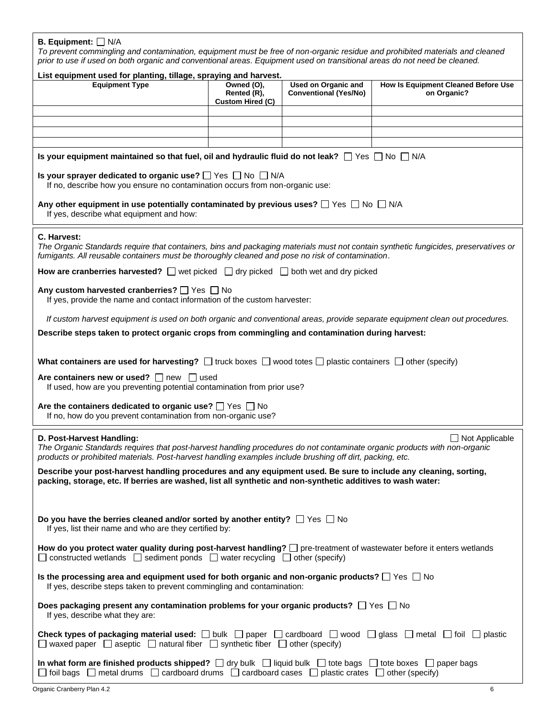## **B. Equipment:**  $\Box$  N/A

*To prevent commingling and contamination, equipment must be free of non-organic residue and prohibited materials and cleaned prior to use if used on both organic and conventional areas. Equipment used on transitional areas do not need be cleaned.*

| List equipment used for planting, tillage, spraying and harvest.                                                                                                                                                                                                      |                                                                                                                                                                                                                                         |                                                            |                                                    |  |  |
|-----------------------------------------------------------------------------------------------------------------------------------------------------------------------------------------------------------------------------------------------------------------------|-----------------------------------------------------------------------------------------------------------------------------------------------------------------------------------------------------------------------------------------|------------------------------------------------------------|----------------------------------------------------|--|--|
| <b>Equipment Type</b>                                                                                                                                                                                                                                                 | Owned (O),<br>Rented (R),<br><b>Custom Hired (C)</b>                                                                                                                                                                                    | <b>Used on Organic and</b><br><b>Conventional (Yes/No)</b> | How Is Equipment Cleaned Before Use<br>on Organic? |  |  |
|                                                                                                                                                                                                                                                                       |                                                                                                                                                                                                                                         |                                                            |                                                    |  |  |
|                                                                                                                                                                                                                                                                       |                                                                                                                                                                                                                                         |                                                            |                                                    |  |  |
|                                                                                                                                                                                                                                                                       |                                                                                                                                                                                                                                         |                                                            |                                                    |  |  |
| Is your equipment maintained so that fuel, oil and hydraulic fluid do not leak? $\Box$ Yes $\Box$ No $\Box$ N/A                                                                                                                                                       |                                                                                                                                                                                                                                         |                                                            |                                                    |  |  |
| Is your sprayer dedicated to organic use? $\Box$ Yes $\Box$ No $\Box$ N/A<br>If no, describe how you ensure no contamination occurs from non-organic use:                                                                                                             |                                                                                                                                                                                                                                         |                                                            |                                                    |  |  |
| Any other equipment in use potentially contaminated by previous uses? $\Box$ Yes $\Box$ No $\Box$ N/A<br>If yes, describe what equipment and how:                                                                                                                     |                                                                                                                                                                                                                                         |                                                            |                                                    |  |  |
| C. Harvest:                                                                                                                                                                                                                                                           | The Organic Standards require that containers, bins and packaging materials must not contain synthetic fungicides, preservatives or<br>fumigants. All reusable containers must be thoroughly cleaned and pose no risk of contamination. |                                                            |                                                    |  |  |
| <b>How are cranberries harvested?</b> $\Box$ wet picked $\Box$ dry picked $\Box$ both wet and dry picked                                                                                                                                                              |                                                                                                                                                                                                                                         |                                                            |                                                    |  |  |
| Any custom harvested cranberries? The State Theory<br>If yes, provide the name and contact information of the custom harvester:                                                                                                                                       |                                                                                                                                                                                                                                         |                                                            |                                                    |  |  |
| If custom harvest equipment is used on both organic and conventional areas, provide separate equipment clean out procedures.                                                                                                                                          |                                                                                                                                                                                                                                         |                                                            |                                                    |  |  |
| Describe steps taken to protect organic crops from commingling and contamination during harvest:                                                                                                                                                                      |                                                                                                                                                                                                                                         |                                                            |                                                    |  |  |
| What containers are used for harvesting? $\Box$ truck boxes $\Box$ wood totes $\Box$ plastic containers $\Box$ other (specify)                                                                                                                                        |                                                                                                                                                                                                                                         |                                                            |                                                    |  |  |
| Are containers new or used? $\Box$ new $\Box$ used<br>If used, how are you preventing potential contamination from prior use?                                                                                                                                         |                                                                                                                                                                                                                                         |                                                            |                                                    |  |  |
| Are the containers dedicated to organic use? $\Box$ Yes $\Box$ No<br>If no, how do you prevent contamination from non-organic use?                                                                                                                                    |                                                                                                                                                                                                                                         |                                                            |                                                    |  |  |
| D. Post-Harvest Handling:<br>The Organic Standards requires that post-harvest handling procedures do not contaminate organic products with non-organic<br>products or prohibited materials. Post-harvest handling examples include brushing off dirt, packing, etc.   |                                                                                                                                                                                                                                         |                                                            | $\Box$ Not Applicable                              |  |  |
| Describe your post-harvest handling procedures and any equipment used. Be sure to include any cleaning, sorting,<br>packing, storage, etc. If berries are washed, list all synthetic and non-synthetic additives to wash water:                                       |                                                                                                                                                                                                                                         |                                                            |                                                    |  |  |
|                                                                                                                                                                                                                                                                       |                                                                                                                                                                                                                                         |                                                            |                                                    |  |  |
| Do you have the berries cleaned and/or sorted by another entity? $\Box$ Yes $\Box$ No<br>If yes, list their name and who are they certified by:                                                                                                                       |                                                                                                                                                                                                                                         |                                                            |                                                    |  |  |
| How do you protect water quality during post-harvest handling? $\Box$ pre-treatment of wastewater before it enters wetlands<br>$\Box$ constructed wetlands $\Box$ sediment ponds $\Box$ water recycling $\Box$ other (specify)                                        |                                                                                                                                                                                                                                         |                                                            |                                                    |  |  |
| Is the processing area and equipment used for both organic and non-organic products? $\Box$ Yes $\Box$ No<br>If yes, describe steps taken to prevent commingling and contamination:                                                                                   |                                                                                                                                                                                                                                         |                                                            |                                                    |  |  |
| Does packaging present any contamination problems for your organic products? $\Box$ Yes $\Box$ No<br>If yes, describe what they are:                                                                                                                                  |                                                                                                                                                                                                                                         |                                                            |                                                    |  |  |
| <b>Check types of packaging material used:</b> $\Box$ bulk $\Box$ paper $\Box$ cardboard $\Box$ wood $\Box$ glass $\Box$ metal $\Box$ foil $\Box$ plastic<br>$\Box$ waxed paper $\Box$ aseptic $\Box$ natural fiber $\Box$ synthetic fiber $\Box$ other (specify)     |                                                                                                                                                                                                                                         |                                                            |                                                    |  |  |
| In what form are finished products shipped? $\Box$ dry bulk $\Box$ liquid bulk $\Box$ tote bags $\Box$ tote boxes $\Box$ paper bags<br>$\Box$ foil bags $\Box$ metal drums $\Box$ cardboard drums $\Box$ cardboard cases $\Box$ plastic crates $\Box$ other (specify) |                                                                                                                                                                                                                                         |                                                            |                                                    |  |  |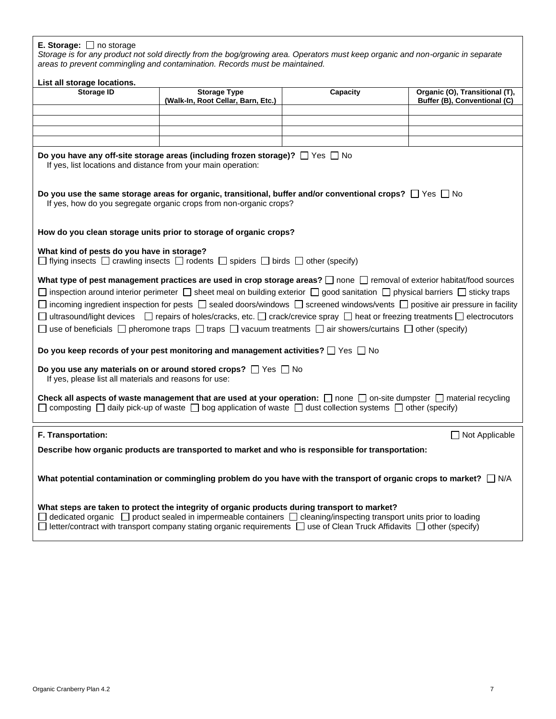## **E. Storage:** □ no storage

*Storage is for any product not sold directly from the bog/growing area. Operators must keep organic and non-organic in separate areas to prevent commingling and contamination. Records must be maintained.*

| List all storage locations.                                                                                                                                                                                                                                                                                                                                                                                                                                                                                                                                                                                                                                                                   |                                                                                                                                                                                                                                                                                                                                                                                 |          |                                                                |  |  |
|-----------------------------------------------------------------------------------------------------------------------------------------------------------------------------------------------------------------------------------------------------------------------------------------------------------------------------------------------------------------------------------------------------------------------------------------------------------------------------------------------------------------------------------------------------------------------------------------------------------------------------------------------------------------------------------------------|---------------------------------------------------------------------------------------------------------------------------------------------------------------------------------------------------------------------------------------------------------------------------------------------------------------------------------------------------------------------------------|----------|----------------------------------------------------------------|--|--|
| <b>Storage ID</b>                                                                                                                                                                                                                                                                                                                                                                                                                                                                                                                                                                                                                                                                             | <b>Storage Type</b><br>(Walk-In, Root Cellar, Barn, Etc.)                                                                                                                                                                                                                                                                                                                       | Capacity | Organic (O), Transitional (T),<br>Buffer (B), Conventional (C) |  |  |
|                                                                                                                                                                                                                                                                                                                                                                                                                                                                                                                                                                                                                                                                                               |                                                                                                                                                                                                                                                                                                                                                                                 |          |                                                                |  |  |
|                                                                                                                                                                                                                                                                                                                                                                                                                                                                                                                                                                                                                                                                                               |                                                                                                                                                                                                                                                                                                                                                                                 |          |                                                                |  |  |
|                                                                                                                                                                                                                                                                                                                                                                                                                                                                                                                                                                                                                                                                                               |                                                                                                                                                                                                                                                                                                                                                                                 |          |                                                                |  |  |
| Do you have any off-site storage areas (including frozen storage)? $\Box$ Yes $\Box$ No<br>If yes, list locations and distance from your main operation:                                                                                                                                                                                                                                                                                                                                                                                                                                                                                                                                      |                                                                                                                                                                                                                                                                                                                                                                                 |          |                                                                |  |  |
| Do you use the same storage areas for organic, transitional, buffer and/or conventional crops? $\Box$ Yes $\Box$ No<br>If yes, how do you segregate organic crops from non-organic crops?                                                                                                                                                                                                                                                                                                                                                                                                                                                                                                     |                                                                                                                                                                                                                                                                                                                                                                                 |          |                                                                |  |  |
|                                                                                                                                                                                                                                                                                                                                                                                                                                                                                                                                                                                                                                                                                               | How do you clean storage units prior to storage of organic crops?                                                                                                                                                                                                                                                                                                               |          |                                                                |  |  |
| What kind of pests do you have in storage?<br>$\Box$ flying insects $\Box$ crawling insects $\Box$ rodents $\Box$ spiders $\Box$ birds $\Box$ other (specify)                                                                                                                                                                                                                                                                                                                                                                                                                                                                                                                                 |                                                                                                                                                                                                                                                                                                                                                                                 |          |                                                                |  |  |
| What type of pest management practices are used in crop storage areas? [ ] none [ ] removal of exterior habitat/food sources<br>$\Box$ inspection around interior perimeter $\Box$ sheet meal on building exterior $\Box$ good sanitation $\Box$ physical barriers $\Box$ sticky traps<br>$\Box$ incoming ingredient inspection for pests $\Box$ sealed doors/windows $\Box$ screened windows/vents $\Box$ positive air pressure in facility<br>□ ultrasound/light devices □ repairs of holes/cracks, etc. □ crack/crevice spray □ heat or freezing treatments □ electrocutors<br>□ use of beneficials □ pheromone traps □ traps □ vacuum treatments □ air showers/curtains □ other (specify) |                                                                                                                                                                                                                                                                                                                                                                                 |          |                                                                |  |  |
|                                                                                                                                                                                                                                                                                                                                                                                                                                                                                                                                                                                                                                                                                               | Do you keep records of your pest monitoring and management activities? $\square$ Yes $\square$ No                                                                                                                                                                                                                                                                               |          |                                                                |  |  |
| Do you use any materials on or around stored crops? $\Box$ Yes $\Box$ No<br>If yes, please list all materials and reasons for use:                                                                                                                                                                                                                                                                                                                                                                                                                                                                                                                                                            |                                                                                                                                                                                                                                                                                                                                                                                 |          |                                                                |  |  |
| Check all aspects of waste management that are used at your operation: $\Box$ none $\Box$ on-site dumpster $\Box$ material recycling<br>$\Box$ composting $\Box$ daily pick-up of waste $\Box$ bog application of waste $\Box$ dust collection systems $\Box$ other (specify)                                                                                                                                                                                                                                                                                                                                                                                                                 |                                                                                                                                                                                                                                                                                                                                                                                 |          |                                                                |  |  |
| F. Transportation:                                                                                                                                                                                                                                                                                                                                                                                                                                                                                                                                                                                                                                                                            |                                                                                                                                                                                                                                                                                                                                                                                 |          | $\Box$ Not Applicable                                          |  |  |
| Describe how organic products are transported to market and who is responsible for transportation:                                                                                                                                                                                                                                                                                                                                                                                                                                                                                                                                                                                            |                                                                                                                                                                                                                                                                                                                                                                                 |          |                                                                |  |  |
|                                                                                                                                                                                                                                                                                                                                                                                                                                                                                                                                                                                                                                                                                               | What potential contamination or commingling problem do you have with the transport of organic crops to market? $\Box$ N/A                                                                                                                                                                                                                                                       |          |                                                                |  |  |
|                                                                                                                                                                                                                                                                                                                                                                                                                                                                                                                                                                                                                                                                                               | What steps are taken to protect the integrity of organic products during transport to market?<br>$\Box$ dedicated organic $\Box$ product sealed in impermeable containers $\Box$ cleaning/inspecting transport units prior to loading<br>$\Box$ letter/contract with transport company stating organic requirements $\Box$ use of Clean Truck Affidavits $\Box$ other (specify) |          |                                                                |  |  |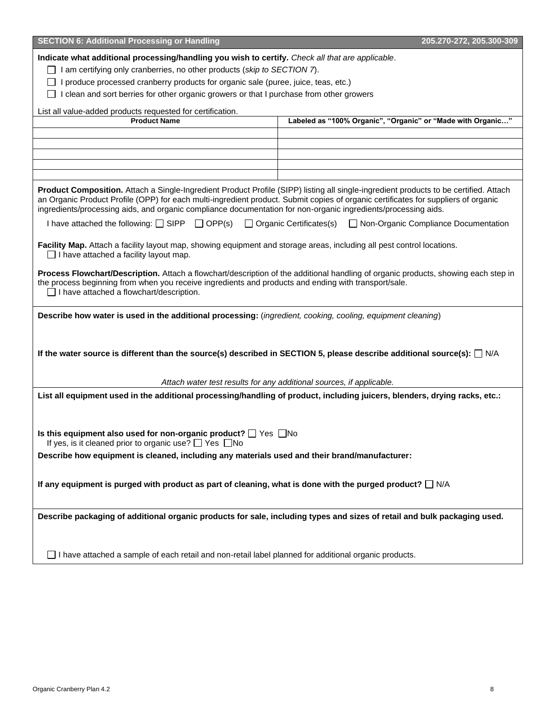| <b>SECTION 6: Additional Processing or Handling</b><br>205.270-272, 205.300-309                                                                                                                                                                                                                                                                                                               |                                                                          |  |  |  |
|-----------------------------------------------------------------------------------------------------------------------------------------------------------------------------------------------------------------------------------------------------------------------------------------------------------------------------------------------------------------------------------------------|--------------------------------------------------------------------------|--|--|--|
| Indicate what additional processing/handling you wish to certify. Check all that are applicable.<br>$\Box$ I am certifying only cranberries, no other products (skip to SECTION 7).<br>I produce processed cranberry products for organic sale (puree, juice, teas, etc.)<br>I clean and sort berries for other organic growers or that I purchase from other growers                         |                                                                          |  |  |  |
| List all value-added products requested for certification.                                                                                                                                                                                                                                                                                                                                    |                                                                          |  |  |  |
| <b>Product Name</b>                                                                                                                                                                                                                                                                                                                                                                           | Labeled as "100% Organic", "Organic" or "Made with Organic"              |  |  |  |
|                                                                                                                                                                                                                                                                                                                                                                                               |                                                                          |  |  |  |
|                                                                                                                                                                                                                                                                                                                                                                                               |                                                                          |  |  |  |
|                                                                                                                                                                                                                                                                                                                                                                                               |                                                                          |  |  |  |
|                                                                                                                                                                                                                                                                                                                                                                                               |                                                                          |  |  |  |
|                                                                                                                                                                                                                                                                                                                                                                                               |                                                                          |  |  |  |
| Product Composition. Attach a Single-Ingredient Product Profile (SIPP) listing all single-ingredient products to be certified. Attach<br>an Organic Product Profile (OPP) for each multi-ingredient product. Submit copies of organic certificates for suppliers of organic<br>ingredients/processing aids, and organic compliance documentation for non-organic ingredients/processing aids. |                                                                          |  |  |  |
| I have attached the following: $\Box$ SIPP $\Box$ OPP(s)                                                                                                                                                                                                                                                                                                                                      | □ Organic Certificates(s)<br>$\Box$ Non-Organic Compliance Documentation |  |  |  |
| Facility Map. Attach a facility layout map, showing equipment and storage areas, including all pest control locations.<br>$\Box$ I have attached a facility layout map.                                                                                                                                                                                                                       |                                                                          |  |  |  |
| Process Flowchart/Description. Attach a flowchart/description of the additional handling of organic products, showing each step in<br>the process beginning from when you receive ingredients and products and ending with transport/sale.<br>$\Box$ I have attached a flowchart/description.                                                                                                 |                                                                          |  |  |  |
| Describe how water is used in the additional processing: (ingredient, cooking, cooling, equipment cleaning)                                                                                                                                                                                                                                                                                   |                                                                          |  |  |  |
| If the water source is different than the source(s) described in SECTION 5, please describe additional source(s): $\Box$ N/A                                                                                                                                                                                                                                                                  |                                                                          |  |  |  |
|                                                                                                                                                                                                                                                                                                                                                                                               | Attach water test results for any additional sources, if applicable.     |  |  |  |
| List all equipment used in the additional processing/handling of product, including juicers, blenders, drying racks, etc.:                                                                                                                                                                                                                                                                    |                                                                          |  |  |  |
| Is this equipment also used for non-organic product? $\Box$ Yes $\Box$ No                                                                                                                                                                                                                                                                                                                     |                                                                          |  |  |  |
| If yes, is it cleaned prior to organic use? $\Box$ Yes $\Box$ No                                                                                                                                                                                                                                                                                                                              |                                                                          |  |  |  |
| Describe how equipment is cleaned, including any materials used and their brand/manufacturer:                                                                                                                                                                                                                                                                                                 |                                                                          |  |  |  |
| If any equipment is purged with product as part of cleaning, what is done with the purged product? $\Box$ N/A                                                                                                                                                                                                                                                                                 |                                                                          |  |  |  |
| Describe packaging of additional organic products for sale, including types and sizes of retail and bulk packaging used.                                                                                                                                                                                                                                                                      |                                                                          |  |  |  |
| $\Box$ I have attached a sample of each retail and non-retail label planned for additional organic products.                                                                                                                                                                                                                                                                                  |                                                                          |  |  |  |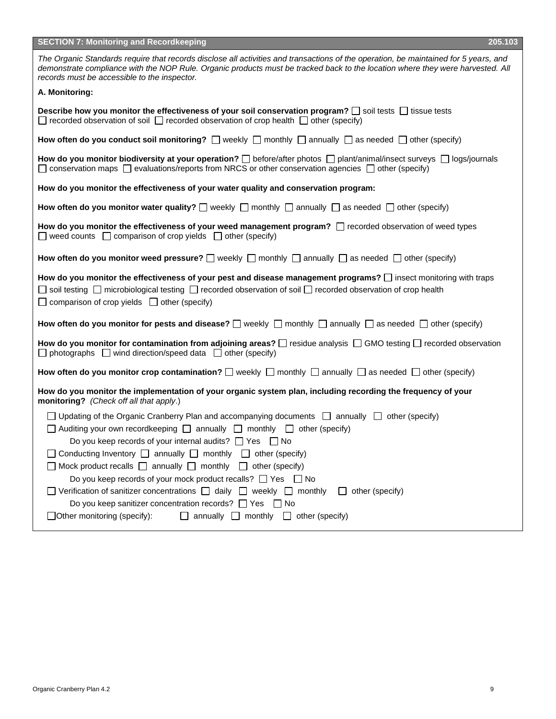| <b>SECTION 7: Monitoring and Recordkeeping</b><br>205.103                                                                                                                                                                                                                                                                                                                                                                                                                                                                                                                                                                                                                                                                                                                                                                               |
|-----------------------------------------------------------------------------------------------------------------------------------------------------------------------------------------------------------------------------------------------------------------------------------------------------------------------------------------------------------------------------------------------------------------------------------------------------------------------------------------------------------------------------------------------------------------------------------------------------------------------------------------------------------------------------------------------------------------------------------------------------------------------------------------------------------------------------------------|
| The Organic Standards require that records disclose all activities and transactions of the operation, be maintained for 5 years, and<br>demonstrate compliance with the NOP Rule. Organic products must be tracked back to the location where they were harvested. All<br>records must be accessible to the inspector.                                                                                                                                                                                                                                                                                                                                                                                                                                                                                                                  |
| A. Monitoring:                                                                                                                                                                                                                                                                                                                                                                                                                                                                                                                                                                                                                                                                                                                                                                                                                          |
| Describe how you monitor the effectiveness of your soil conservation program? $\Box$ soil tests $\Box$ tissue tests<br>$\Box$ recorded observation of soil $\Box$ recorded observation of crop health $\Box$ other (specify)                                                                                                                                                                                                                                                                                                                                                                                                                                                                                                                                                                                                            |
| How often do you conduct soil monitoring? $\Box$ weekly $\Box$ monthly $\Box$ annually $\Box$ as needed $\Box$ other (specify)                                                                                                                                                                                                                                                                                                                                                                                                                                                                                                                                                                                                                                                                                                          |
| How do you monitor biodiversity at your operation? $\Box$ before/after photos $\Box$ plant/animal/insect surveys $\Box$ logs/journals<br>$\Box$ conservation maps $\Box$ evaluations/reports from NRCS or other conservation agencies $\Box$ other (specify)                                                                                                                                                                                                                                                                                                                                                                                                                                                                                                                                                                            |
| How do you monitor the effectiveness of your water quality and conservation program:                                                                                                                                                                                                                                                                                                                                                                                                                                                                                                                                                                                                                                                                                                                                                    |
| How often do you monitor water quality? $\Box$ weekly $\Box$ monthly $\Box$ annually $\Box$ as needed $\Box$ other (specify)                                                                                                                                                                                                                                                                                                                                                                                                                                                                                                                                                                                                                                                                                                            |
| How do you monitor the effectiveness of your weed management program? $\Box$ recorded observation of weed types<br>$\Box$ weed counts $\Box$ comparison of crop yields $\Box$ other (specify)                                                                                                                                                                                                                                                                                                                                                                                                                                                                                                                                                                                                                                           |
| How often do you monitor weed pressure? $\Box$ weekly $\Box$ monthly $\Box$ annually $\Box$ as needed $\Box$ other (specify)                                                                                                                                                                                                                                                                                                                                                                                                                                                                                                                                                                                                                                                                                                            |
| How do you monitor the effectiveness of your pest and disease management programs? $\square$ insect monitoring with traps<br>$\Box$ soil testing $\Box$ microbiological testing $\Box$ recorded observation of soil $\Box$ recorded observation of crop health<br>$\Box$ comparison of crop yields $\Box$ other (specify)                                                                                                                                                                                                                                                                                                                                                                                                                                                                                                               |
| How often do you monitor for pests and disease? $\square$ weekly $\square$ monthly $\square$ annually $\square$ as needed $\square$ other (specify)                                                                                                                                                                                                                                                                                                                                                                                                                                                                                                                                                                                                                                                                                     |
| How do you monitor for contamination from adjoining areas? $\Box$ residue analysis $\Box$ GMO testing $\Box$ recorded observation<br>$\Box$ photographs $\Box$ wind direction/speed data $\Box$ other (specify)                                                                                                                                                                                                                                                                                                                                                                                                                                                                                                                                                                                                                         |
| How often do you monitor crop contamination? $\square$ weekly $\square$ monthly $\square$ annually $\square$ as needed $\square$ other (specify)                                                                                                                                                                                                                                                                                                                                                                                                                                                                                                                                                                                                                                                                                        |
| How do you monitor the implementation of your organic system plan, including recording the frequency of your<br>monitoring? (Check off all that apply.)                                                                                                                                                                                                                                                                                                                                                                                                                                                                                                                                                                                                                                                                                 |
| $\Box$ Updating of the Organic Cranberry Plan and accompanying documents $\Box$ annually $\Box$ other (specify)<br>$\Box$ Auditing your own recordkeeping $\Box$ annually $\Box$ monthly $\Box$ other (specify)<br>Do you keep records of your internal audits? $\Box$ Yes $\Box$ No<br>$\Box$ Conducting Inventory $\Box$ annually $\Box$ monthly $\Box$ other (specify)<br>$\Box$ Mock product recalls $\Box$ annually $\Box$ monthly $\Box$ other (specify)<br>Do you keep records of your mock product recalls? $\Box$ Yes $\Box$ No<br>$\Box$ Verification of sanitizer concentrations $\Box$ daily $\Box$ weekly $\Box$ monthly<br>other (specify)<br>$\perp$<br>Do you keep sanitizer concentration records? $\Box$ Yes $\Box$ No<br>$\Box$ annually $\Box$ monthly $\Box$ other (specify)<br>$\Box$ Other monitoring (specify): |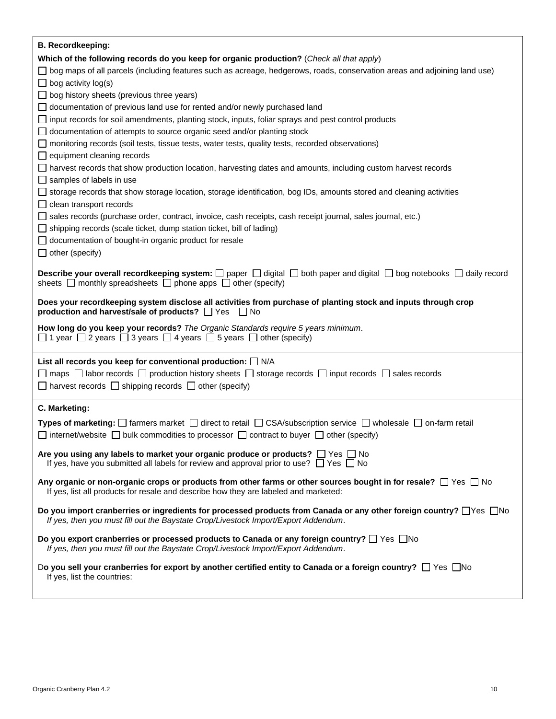| <b>B. Recordkeeping:</b>                                                                                                                                                                                                             |
|--------------------------------------------------------------------------------------------------------------------------------------------------------------------------------------------------------------------------------------|
| Which of the following records do you keep for organic production? (Check all that apply)                                                                                                                                            |
| □ bog maps of all parcels (including features such as acreage, hedgerows, roads, conservation areas and adjoining land use)                                                                                                          |
| $\Box$ bog activity log(s)                                                                                                                                                                                                           |
| $\Box$ bog history sheets (previous three years)                                                                                                                                                                                     |
| $\Box$ documentation of previous land use for rented and/or newly purchased land                                                                                                                                                     |
| $\Box$ input records for soil amendments, planting stock, inputs, foliar sprays and pest control products                                                                                                                            |
| $\Box$ documentation of attempts to source organic seed and/or planting stock                                                                                                                                                        |
| monitoring records (soil tests, tissue tests, water tests, quality tests, recorded observations)                                                                                                                                     |
| $\Box$ equipment cleaning records                                                                                                                                                                                                    |
| □ harvest records that show production location, harvesting dates and amounts, including custom harvest records                                                                                                                      |
| $\Box$ samples of labels in use                                                                                                                                                                                                      |
| □ storage records that show storage location, storage identification, bog IDs, amounts stored and cleaning activities<br>$\Box$ clean transport records                                                                              |
| □ sales records (purchase order, contract, invoice, cash receipts, cash receipt journal, sales journal, etc.)                                                                                                                        |
| $\Box$ shipping records (scale ticket, dump station ticket, bill of lading)                                                                                                                                                          |
| documentation of bought-in organic product for resale                                                                                                                                                                                |
| $\Box$ other (specify)                                                                                                                                                                                                               |
|                                                                                                                                                                                                                                      |
| <b>Describe your overall recordkeeping system:</b> $\Box$ paper $\Box$ digital $\Box$ both paper and digital $\Box$ bog notebooks $\Box$ daily record<br>sheets $\Box$ monthly spreadsheets $\Box$ phone apps $\Box$ other (specify) |
| Does your recordkeeping system disclose all activities from purchase of planting stock and inputs through crop<br>production and harvest/sale of products? Thes<br>∣ I No                                                            |
|                                                                                                                                                                                                                                      |
| How long do you keep your records? The Organic Standards require 5 years minimum.<br>$\Box$ 1 year $\Box$ 2 years $\Box$ 3 years $\Box$ 4 years $\Box$ 5 years $\Box$ other (specify)                                                |
|                                                                                                                                                                                                                                      |
| List all records you keep for conventional production: $\Box$ N/A                                                                                                                                                                    |
| $\Box$ maps $\Box$ labor records $\Box$ production history sheets $\Box$ storage records $\Box$ input records $\Box$ sales records                                                                                                   |
| $\Box$ harvest records $\Box$ shipping records $\Box$ other (specify)                                                                                                                                                                |
| C. Marketing:                                                                                                                                                                                                                        |
| Types of marketing: $\Box$ farmers market $\Box$ direct to retail $\Box$ CSA/subscription service $\Box$ wholesale $\Box$ on-farm retail                                                                                             |
| $\Box$ internet/website $\Box$ bulk commodities to processor $\Box$ contract to buyer $\Box$ other (specify)                                                                                                                         |
| Are you using any labels to market your organic produce or products? $\Box$ Yes $\Box$ No<br>If yes, have you submitted all labels for review and approval prior to use? $\Box$ Yes $\Box$ No                                        |
| Any organic or non-organic crops or products from other farms or other sources bought in for resale? $\Box$ Yes $\Box$ No<br>If yes, list all products for resale and describe how they are labeled and marketed:                    |
| Do you import cranberries or ingredients for processed products from Canada or any other foreign country? □ Yes □ No<br>If yes, then you must fill out the Baystate Crop/Livestock Import/Export Addendum.                           |
| Do you export cranberries or processed products to Canada or any foreign country? $\Box$ Yes $\Box$ No<br>If yes, then you must fill out the Baystate Crop/Livestock Import/Export Addendum.                                         |
| Do you sell your cranberries for export by another certified entity to Canada or a foreign country? $\Box$ Yes $\Box$ No<br>If yes, list the countries:                                                                              |